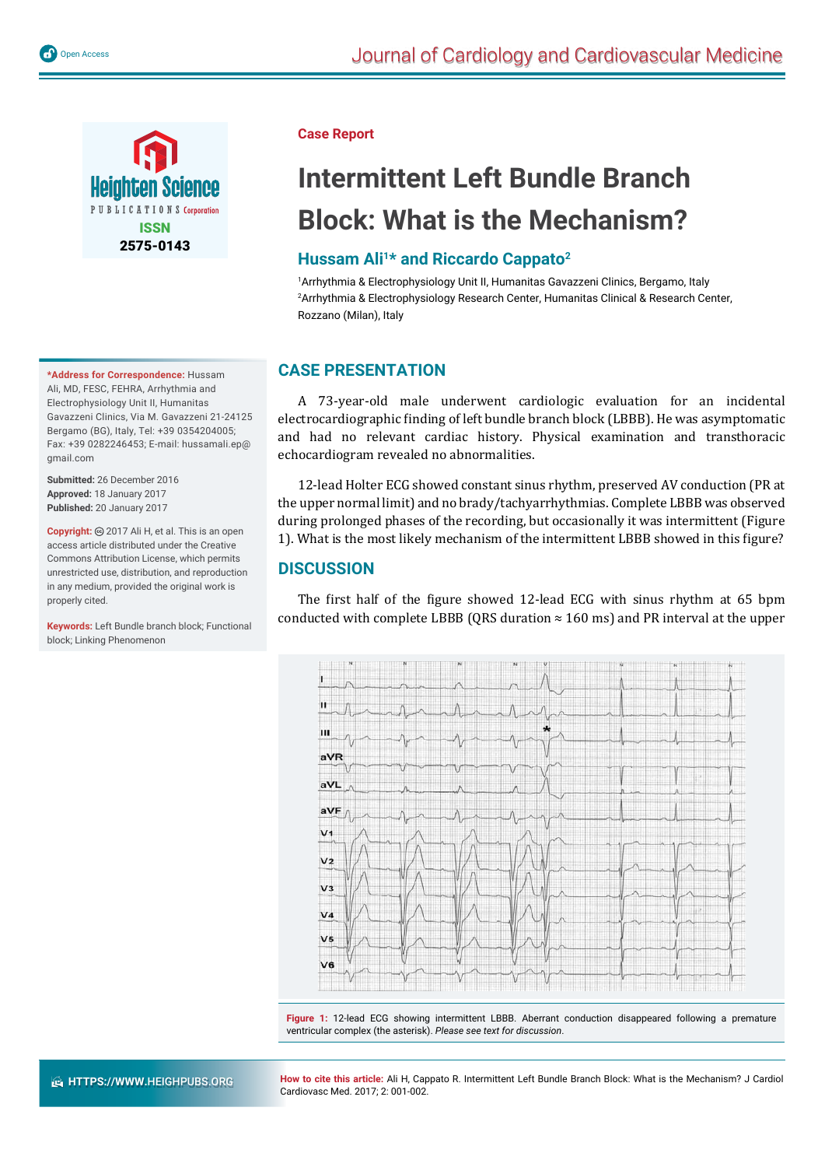

**\*Address for Correspondence:** Hussam Ali, MD, FESC, FEHRA, Arrhythmia and Electrophysiology Unit II, Humanitas Gavazzeni Clinics, Via M. Gavazzeni 21-24125 Bergamo (BG), Italy, Tel: +39 0354204005; Fax: +39 0282246453; E-mail: hussamali.ep@ gmail.com

**Submitted:** 26 December 2016 **Approved:** 18 January 2017 **Published:** 20 January 2017

**Copyright:** @ 2017 Ali H, et al. This is an open access article distributed under the Creative Commons Attribution License, which permits unrestricted use, distribution, and reproduction in any medium, provided the original work is properly cited.

**Keywords:** Left Bundle branch block; Functional block; Linking Phenomenon

#### **Case Report**

# **Intermittent Left Bundle Branch Block: What is the Mechanism?**

## **Hussam Ali1\* and Riccardo Cappato2**

1 Arrhythmia & Electrophysiology Unit II, Humanitas Gavazzeni Clinics, Bergamo, Italy 2 Arrhythmia & Electrophysiology Research Center, Humanitas Clinical & Research Center, Rozzano (Milan), Italy

## **CASE PRESENTATION**

A 73-year-old male underwent cardiologic evaluation for an incidental electrocardiographic ϐinding of left bundle branch block (LBBB). He was asymptomatic and had no relevant cardiac history. Physical examination and transthoracic echocardiogram revealed no abnormalities.

12-lead Holter ECG showed constant sinus rhythm, preserved AV conduction (PR at the upper normal limit) and no brady/tachyarrhythmias. Complete LBBB was observed during prolonged phases of the recording, but occasionally it was intermittent (Figure 1). What is the most likely mechanism of the intermittent LBBB showed in this figure?

### **DISCUSSION**

The first half of the figure showed 12-lead ECG with sinus rhythm at 65 bpm conducted with complete LBBB (ORS duration  $\approx 160$  ms) and PR interval at the upper



**Figure 1:** 12-lead ECG showing intermittent LBBB. Aberrant conduction disappeared following a premature ventricular complex (the asterisk). *Please see text for discussion*.

**How to cite this article:** Ali H, Cappato R. Intermittent Left Bundle Branch Block: What is the Mechanism? J Cardiol Cardiovasc Med. 2017; 2: 001-002.